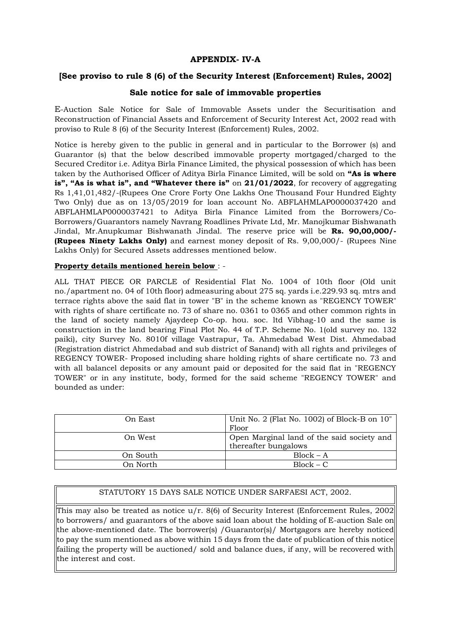## **APPENDIX- IV-A**

## **[See proviso to rule 8 (6) of the Security Interest (Enforcement) Rules, 2002]**

## **Sale notice for sale of immovable properties**

E-Auction Sale Notice for Sale of Immovable Assets under the Securitisation and Reconstruction of Financial Assets and Enforcement of Security Interest Act, 2002 read with proviso to Rule 8 (6) of the Security Interest (Enforcement) Rules, 2002.

Notice is hereby given to the public in general and in particular to the Borrower (s) and Guarantor (s) that the below described immovable property mortgaged/charged to the Secured Creditor i.e. Aditya Birla Finance Limited, the physical possession of which has been taken by the Authorised Officer of Aditya Birla Finance Limited, will be sold on **"As is where is", "As is what is", and "Whatever there is"** on **21/01/2022**, for recovery of aggregating Rs 1,41,01,482/-(Rupees One Crore Forty One Lakhs One Thousand Four Hundred Eighty Two Only) due as on 13/05/2019 for loan account No. ABFLAHMLAP0000037420 and ABFLAHMLAP0000037421 to Aditya Birla Finance Limited from the Borrowers/Co-Borrowers/Guarantors namely Navrang Roadlines Private Ltd, Mr. Manojkumar Bishwanath Jindal, Mr.Anupkumar Bishwanath Jindal. The reserve price will be **Rs. 90,00,000/- (Rupees Ninety Lakhs Only)** and earnest money deposit of Rs. 9,00,000/- (Rupees Nine Lakhs Only) for Secured Assets addresses mentioned below.

## **Property details mentioned herein below** : -

ALL THAT PIECE OR PARCLE of Residential Flat No. 1004 of 10th floor (Old unit no./apartment no. 04 of 10th floor) admeasuring about 275 sq. yards i.e.229.93 sq. mtrs and terrace rights above the said flat in tower "B" in the scheme known as "REGENCY TOWER" with rights of share certificate no. 73 of share no. 0361 to 0365 and other common rights in the land of society namely Ajaydeep Co-op. hou. soc. ltd Vibhag-10 and the same is construction in the land bearing Final Plot No. 44 of T.P. Scheme No. 1(old survey no. 132 paiki), city Survey No. 8010f village Vastrapur, Ta. Ahmedabad West Dist. Ahmedabad (Registration district Ahmedabad and sub district of Sanand) with all rights and privileges of REGENCY TOWER- Proposed including share holding rights of share certificate no. 73 and with all balancel deposits or any amount paid or deposited for the said flat in "REGENCY TOWER" or in any institute, body, formed for the said scheme "REGENCY TOWER" and bounded as under:

| On East  | Unit No. 2 (Flat No. 1002) of Block-B on 10"<br>Floor              |
|----------|--------------------------------------------------------------------|
| On West  | Open Marginal land of the said society and<br>thereafter bungalows |
| On South | $Block - A$                                                        |
| On North | $Block - C$                                                        |

## STATUTORY 15 DAYS SALE NOTICE UNDER SARFAESI ACT, 2002.

This may also be treated as notice  $u/r$ . 8(6) of Security Interest (Enforcement Rules, 2002 to borrowers/ and guarantors of the above said loan about the holding of E-auction Sale on the above-mentioned date. The borrower(s) / Guarantor(s) / Mortgagors are hereby noticed to pay the sum mentioned as above within 15 days from the date of publication of this notice failing the property will be auctioned/ sold and balance dues, if any, will be recovered with the interest and cost.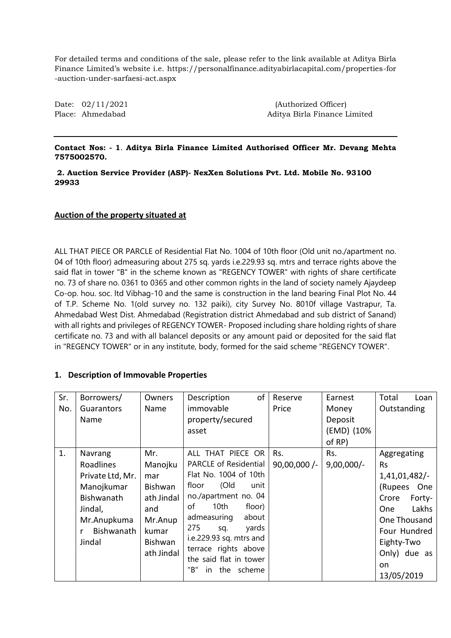For detailed terms and conditions of the sale, please refer to the link available at Aditya Birla Finance Limited's website i.e. https://personalfinance.adityabirlacapital.com/properties-for -auction-under-sarfaesi-act.aspx

Date:  $02/11/2021$  (Authorized Officer) Place: Ahmedabad Aditya Birla Finance Limited

## **Contact Nos: - 1**. **Aditya Birla Finance Limited Authorised Officer Mr. Devang Mehta 7575002570.**

#### **2. Auction Service Provider (ASP)- NexXen Solutions Pvt. Ltd. Mobile No. 93100 29933**

## **Auction of the property situated at**

ALL THAT PIECE OR PARCLE of Residential Flat No. 1004 of 10th floor (Old unit no./apartment no. 04 of 10th floor) admeasuring about 275 sq. yards i.e.229.93 sq. mtrs and terrace rights above the said flat in tower "B" in the scheme known as "REGENCY TOWER" with rights of share certificate no. 73 of share no. 0361 to 0365 and other common rights in the land of society namely Ajaydeep Co-op. hou. soc. ltd Vibhag-10 and the same is construction in the land bearing Final Plot No. 44 of T.P. Scheme No. 1(old survey no. 132 paiki), city Survey No. 8010f village Vastrapur, Ta. Ahmedabad West Dist. Ahmedabad (Registration district Ahmedabad and sub district of Sanand) with all rights and privileges of REGENCY TOWER- Proposed including share holding rights of share certificate no. 73 and with all balancel deposits or any amount paid or deposited for the said flat in "REGENCY TOWER" or in any institute, body, formed for the said scheme "REGENCY TOWER".

## **1. Description of Immovable Properties**

| Sr.<br>No. | Borrowers/<br>Guarantors<br>Name                                                                                       | Owners<br>Name                                                                                     | of<br>Description<br>immovable<br>property/secured<br>asset                                                                                                                                                                                                                                                             | Reserve<br>Price      | Earnest<br>Money<br>Deposit<br>(EMD) (10%<br>of RP) | Total<br>Loan<br>Outstanding                                                                                                                                                            |
|------------|------------------------------------------------------------------------------------------------------------------------|----------------------------------------------------------------------------------------------------|-------------------------------------------------------------------------------------------------------------------------------------------------------------------------------------------------------------------------------------------------------------------------------------------------------------------------|-----------------------|-----------------------------------------------------|-----------------------------------------------------------------------------------------------------------------------------------------------------------------------------------------|
| 1.         | Navrang<br>Roadlines<br>Private Ltd, Mr.<br>Manojkumar<br>Bishwanath<br>Jindal,<br>Mr.Anupkuma<br>Bishwanath<br>Jindal | Mr.<br>Manojku<br>mar<br>Bishwan<br>ath Jindal<br>and<br>Mr.Anup<br>kumar<br>Bishwan<br>ath Jindal | ALL THAT PIECE OR<br><b>PARCLE of Residential</b><br>Flat No. 1004 of 10th<br>(Old<br>floor<br>unit<br>no./apartment no. 04<br>of<br>10 <sub>th</sub><br>floor)<br>admeasuring<br>about<br>275<br>yards<br>sq.<br>i.e.229.93 sq. mtrs and<br>terrace rights above<br>the said flat in tower<br>"B"<br>the scheme<br>in. | Rs.<br>$90,00,000$ /- | Rs.<br>$9,00,000/-$                                 | Aggregating<br><b>Rs</b><br>1,41,01,482/-<br>(Rupees<br>One<br>Crore<br>Forty-<br>Lakhs<br><b>One</b><br>One Thousand<br>Four Hundred<br>Eighty-Two<br>Only) due as<br>on<br>13/05/2019 |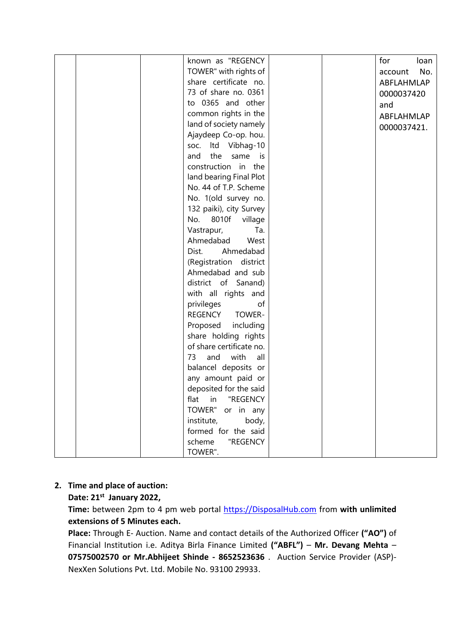|  | known as "REGENCY           |  | for<br>loan    |
|--|-----------------------------|--|----------------|
|  | TOWER" with rights of       |  | No.<br>account |
|  | share certificate no.       |  | ABFLAHMLAP     |
|  | 73 of share no. 0361        |  | 0000037420     |
|  | to 0365 and other           |  | and            |
|  | common rights in the        |  | ABFLAHMLAP     |
|  | land of society namely      |  | 0000037421.    |
|  | Ajaydeep Co-op. hou.        |  |                |
|  | Itd Vibhag-10<br>SOC.       |  |                |
|  | the<br>same<br>and<br>is is |  |                |
|  | construction in the         |  |                |
|  | land bearing Final Plot     |  |                |
|  | No. 44 of T.P. Scheme       |  |                |
|  | No. 1(old survey no.        |  |                |
|  | 132 paiki), city Survey     |  |                |
|  | 8010f<br>No.<br>village     |  |                |
|  | Vastrapur,<br>Ta.           |  |                |
|  | Ahmedabad<br>West           |  |                |
|  | Ahmedabad<br>Dist.          |  |                |
|  | (Registration district      |  |                |
|  | Ahmedabad and sub           |  |                |
|  | district of Sanand)         |  |                |
|  | with all rights and         |  |                |
|  | privileges<br>of            |  |                |
|  | REGENCY<br>TOWER-           |  |                |
|  | Proposed<br>including       |  |                |
|  | share holding rights        |  |                |
|  | of share certificate no.    |  |                |
|  | and<br>73<br>with<br>all    |  |                |
|  | balancel deposits or        |  |                |
|  | any amount paid or          |  |                |
|  | deposited for the said      |  |                |
|  | flat in "REGENCY            |  |                |
|  | TOWER" or in any            |  |                |
|  | body,<br>institute,         |  |                |
|  | formed for the said         |  |                |
|  | scheme<br>"REGENCY          |  |                |
|  | TOWER".                     |  |                |

# **2. Time and place of auction:**

**Date: 21st January 2022,** 

**Time:** between 2pm to 4 pm web portal [https://DisposalHub.com](https://disposalhub.com/) from **with unlimited extensions of 5 Minutes each.**

**Place:** Through E- Auction. Name and contact details of the Authorized Officer **("AO")** of Financial Institution i.e. Aditya Birla Finance Limited **("ABFL")** – **Mr. Devang Mehta** – **07575002570 or Mr.Abhijeet Shinde - 8652523636** . Auction Service Provider (ASP)- NexXen Solutions Pvt. Ltd. Mobile No. 93100 29933.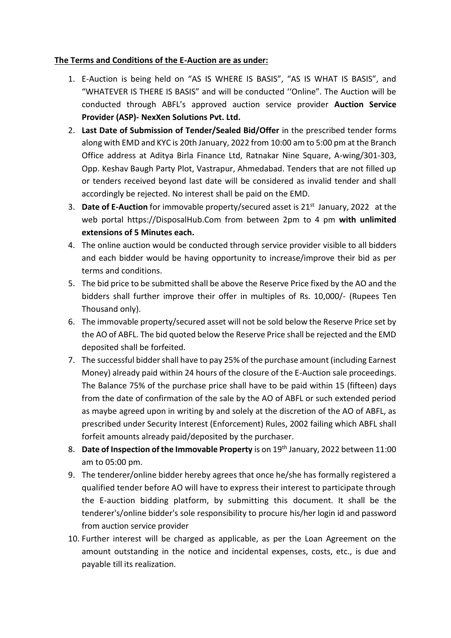# **The Terms and Conditions of the E-Auction are as under:**

- 1. E-Auction is being held on "AS IS WHERE IS BASIS", "AS IS WHAT IS BASIS", and "WHATEVER IS THERE IS BASIS" and will be conducted ''Online". The Auction will be conducted through ABFL's approved auction service provider **Auction Service Provider (ASP)- NexXen Solutions Pvt. Ltd.**
- 2. **Last Date of Submission of Tender/Sealed Bid/Offer** in the prescribed tender forms along with EMD and KYC is 20th January, 2022 from 10:00 am to 5:00 pm at the Branch Office address at Aditya Birla Finance Ltd, Ratnakar Nine Square, A-wing/301-303, Opp. Keshav Baugh Party Plot, Vastrapur, Ahmedabad. Tenders that are not filled up or tenders received beyond last date will be considered as invalid tender and shall accordingly be rejected. No interest shall be paid on the EMD.
- 3. **Date of E-Auction** for immovable property/secured asset is 21st January, 2022 at the web portal https://DisposalHub.Com from between 2pm to 4 pm **with unlimited extensions of 5 Minutes each.**
- 4. The online auction would be conducted through service provider visible to all bidders and each bidder would be having opportunity to increase/improve their bid as per terms and conditions.
- 5. The bid price to be submitted shall be above the Reserve Price fixed by the AO and the bidders shall further improve their offer in multiples of Rs. 10,000/- (Rupees Ten Thousand only).
- 6. The immovable property/secured asset will not be sold below the Reserve Price set by the AO of ABFL. The bid quoted below the Reserve Price shall be rejected and the EMD deposited shall be forfeited.
- 7. The successful bidder shall have to pay 25% of the purchase amount (including Earnest Money) already paid within 24 hours of the closure of the E-Auction sale proceedings. The Balance 75% of the purchase price shall have to be paid within 15 (fifteen) days from the date of confirmation of the sale by the AO of ABFL or such extended period as maybe agreed upon in writing by and solely at the discretion of the AO of ABFL, as prescribed under Security Interest (Enforcement) Rules, 2002 failing which ABFL shall forfeit amounts already paid/deposited by the purchaser.
- 8. Date of Inspection of the Immovable Property is on 19<sup>th</sup> January, 2022 between 11:00 am to 05:00 pm.
- 9. The tenderer/online bidder hereby agrees that once he/she has formally registered a qualified tender before AO will have to express their interest to participate through the E-auction bidding platform, by submitting this document. It shall be the tenderer's/online bidder's sole responsibility to procure his/her login id and password from auction service provider
- 10. Further interest will be charged as applicable, as per the Loan Agreement on the amount outstanding in the notice and incidental expenses, costs, etc., is due and payable till its realization.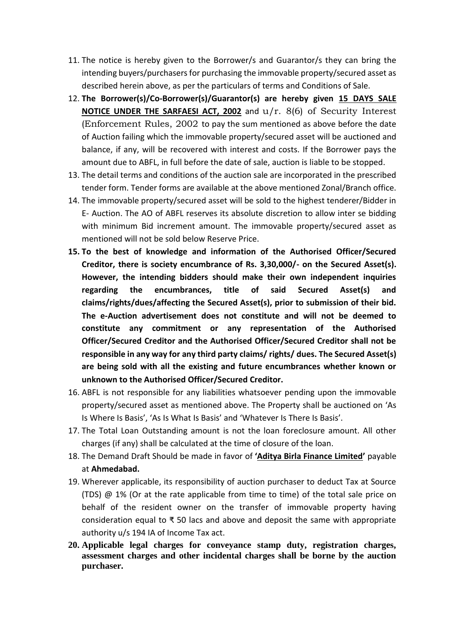- 11. The notice is hereby given to the Borrower/s and Guarantor/s they can bring the intending buyers/purchasers for purchasing the immovable property/secured asset as described herein above, as per the particulars of terms and Conditions of Sale.
- 12. **The Borrower(s)/Co-Borrower(s)/Guarantor(s) are hereby given 15 DAYS SALE NOTICE UNDER THE SARFAESI ACT, 2002** and u/r. 8(6) of Security Interest (Enforcement Rules, 2002 to pay the sum mentioned as above before the date of Auction failing which the immovable property/secured asset will be auctioned and balance, if any, will be recovered with interest and costs. If the Borrower pays the amount due to ABFL, in full before the date of sale, auction is liable to be stopped.
- 13. The detail terms and conditions of the auction sale are incorporated in the prescribed tender form. Tender forms are available at the above mentioned Zonal/Branch office.
- 14. The immovable property/secured asset will be sold to the highest tenderer/Bidder in E- Auction. The AO of ABFL reserves its absolute discretion to allow inter se bidding with minimum Bid increment amount. The immovable property/secured asset as mentioned will not be sold below Reserve Price.
- **15. To the best of knowledge and information of the Authorised Officer/Secured Creditor, there is society encumbrance of Rs. 3,30,000/- on the Secured Asset(s). However, the intending bidders should make their own independent inquiries regarding the encumbrances, title of said Secured Asset(s) and claims/rights/dues/affecting the Secured Asset(s), prior to submission of their bid. The e-Auction advertisement does not constitute and will not be deemed to constitute any commitment or any representation of the Authorised Officer/Secured Creditor and the Authorised Officer/Secured Creditor shall not be responsible in any way for any third party claims/ rights/ dues. The Secured Asset(s) are being sold with all the existing and future encumbrances whether known or unknown to the Authorised Officer/Secured Creditor.**
- 16. ABFL is not responsible for any liabilities whatsoever pending upon the immovable property/secured asset as mentioned above. The Property shall be auctioned on 'As Is Where Is Basis', 'As Is What Is Basis' and 'Whatever Is There Is Basis'.
- 17. The Total Loan Outstanding amount is not the loan foreclosure amount. All other charges (if any) shall be calculated at the time of closure of the loan.
- 18. The Demand Draft Should be made in favor of **'Aditya Birla Finance Limited'** payable at **Ahmedabad.**
- 19. Wherever applicable, its responsibility of auction purchaser to deduct Tax at Source (TDS) @ 1% (Or at the rate applicable from time to time) of the total sale price on behalf of the resident owner on the transfer of immovable property having consideration equal to ₹ 50 lacs and above and deposit the same with appropriate authority u/s 194 IA of Income Tax act.
- **20. Applicable legal charges for conveyance stamp duty, registration charges, assessment charges and other incidental charges shall be borne by the auction purchaser.**